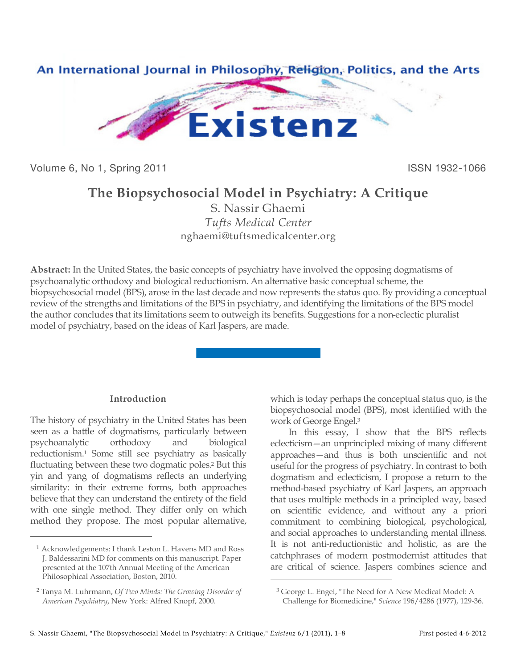

Volume 6, No 1, Spring 2011 **ISSN 1932-1066** 

# **The Biopsychosocial Model in Psychiatry: A Critique**

S. Nassir Ghaemi *Tufts Medical Center* nghaemi@tuftsmedicalcenter.org

**Abstract:** In the United States, the basic concepts of psychiatry have involved the opposing dogmatisms of psychoanalytic orthodoxy and biological reductionism. An alternative basic conceptual scheme, the biopsychosocial model (BPS), arose in the last decade and now represents the status quo. By providing a conceptual review of the strengths and limitations of the BPS in psychiatry, and identifying the limitations of the BPS model the author concludes that its limitations seem to outweigh its benefits. Suggestions for a non-eclectic pluralist model of psychiatry, based on the ideas of Karl Jaspers, are made.

 $\overline{a}$ 

# **Introduction**

The history of psychiatry in the United States has been seen as a battle of dogmatisms, particularly between psychoanalytic orthodoxy and biological reductionism.1 Some still see psychiatry as basically fluctuating between these two dogmatic poles.2 But this yin and yang of dogmatisms reflects an underlying similarity: in their extreme forms, both approaches believe that they can understand the entirety of the field with one single method. They differ only on which method they propose. The most popular alternative,

 $\overline{a}$ 

which is today perhaps the conceptual status quo, is the biopsychosocial model (BPS), most identified with the work of George Engel.3

In this essay, I show that the BPS reflects eclecticism—an unprincipled mixing of many different approaches—and thus is both unscientific and not useful for the progress of psychiatry. In contrast to both dogmatism and eclecticism, I propose a return to the method-based psychiatry of Karl Jaspers, an approach that uses multiple methods in a principled way, based on scientific evidence, and without any a priori commitment to combining biological, psychological, and social approaches to understanding mental illness. It is not anti-reductionistic and holistic, as are the catchphrases of modern postmodernist attitudes that are critical of science. Jaspers combines science and

<sup>1</sup> Acknowledgements: I thank Leston L. Havens MD and Ross J. Baldessarini MD for comments on this manuscript. Paper presented at the 107th Annual Meeting of the American Philosophical Association, Boston, 2010.

<sup>2</sup> Tanya M. Luhrmann, *Of Two Minds: The Growing Disorder of American Psychiatry*, New York: Alfred Knopf, 2000.

<sup>3</sup> George L. Engel, "The Need for A New Medical Model: A

Challenge for Biomedicine," *Science* 196/4286 (1977), 129-36.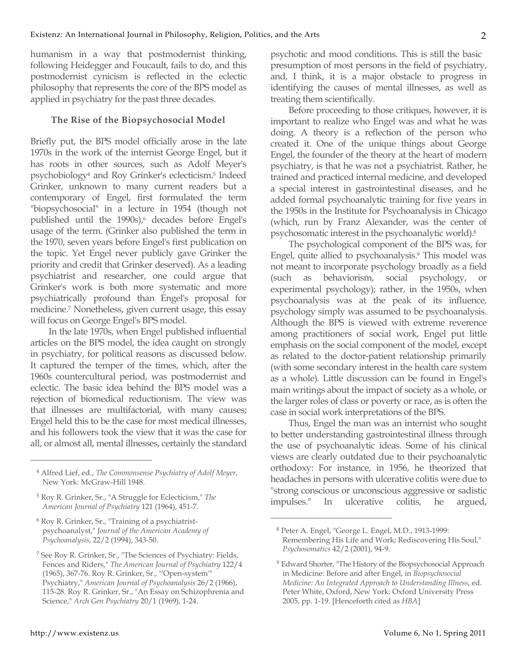humanism in a way that postmodernist thinking, following Heidegger and Foucault, fails to do, and this postmodernist cynicism is reflected in the eclectic philosophy that represents the core of the BPS model as applied in psychiatry for the past three decades.

## **The Rise of the Biopsychosocial Model**

Briefly put, the BPS model officially arose in the late 1970s in the work of the internist George Engel, but it has roots in other sources, such as Adolf Meyer's psychobiology4 and Roy Grinker's eclecticism.5 Indeed Grinker, unknown to many current readers but a contemporary of Engel, first formulated the term "biopsychosocial" in a lecture in 1954 (though not published until the 1990s),<sup>6</sup> decades before Engel's usage of the term. (Grinker also published the term in the 1970, seven years before Engel's first publication on the topic. Yet Engel never publicly gave Grinker the priority and credit that Grinker deserved). As a leading psychiatrist and researcher, one could argue that Grinker's work is both more systematic and more psychiatrically profound than Engel's proposal for medicine.7 Nonetheless, given current usage, this essay will focus on George Engel's BPS model.

In the late 1970s, when Engel published influential articles on the BPS model, the idea caught on strongly in psychiatry, for political reasons as discussed below. It captured the temper of the times, which, after the 1960s countercultural period, was postmodernist and eclectic. The basic idea behind the BPS model was a rejection of biomedical reductionism. The view was that illnesses are multifactorial, with many causes; Engel held this to be the case for most medical illnesses, and his followers took the view that it was the case for all, or almost all, mental illnesses, certainly the standard

6 Roy R. Grinker, Sr., "Training of a psychiatristpsychoanalyst," *Journal of the American Academy of Psychoanalysis*, 22/2 (1994), 343-50.

psychotic and mood conditions. This is still the basic presumption of most persons in the field of psychiatry, and, I think, it is a major obstacle to progress in identifying the causes of mental illnesses, as well as treating them scientifically.

Before proceeding to those critiques, however, it is important to realize who Engel was and what he was doing. A theory is a reflection of the person who created it. One of the unique things about George Engel, the founder of the theory at the heart of modern psychiatry, is that he was not a psychiatrist. Rather, he trained and practiced internal medicine, and developed a special interest in gastrointestinal diseases, and he added formal psychoanalytic training for five years in the 1950s in the Institute for Psychoanalysis in Chicago (which, run by Franz Alexander, was the center of psychosomatic interest in the psychoanalytic world).8

The psychological component of the BPS was, for Engel, quite allied to psychoanalysis.9 This model was not meant to incorporate psychology broadly as a field (such as behaviorism, social psychology, experimental psychology); rather, in the 1950s, when psychoanalysis was at the peak of its influence, psychology simply was assumed to be psychoanalysis. Although the BPS is viewed with extreme reverence among practitioners of social work, Engel put little emphasis on the social component of the model, except as related to the doctor-patient relationship primarily (with some secondary interest in the health care system as a whole). Little discussion can be found in Engel's main writings about the impact of society as a whole, or the larger roles of class or poverty or race, as is often the case in social work interpretations of the BPS.

Thus, Engel the man was an internist who sought to better understanding gastrointestinal illness through the use of psychoanalytic ideas. Some of his clinical views are clearly outdated due to their psychoanalytic orthodoxy: For instance, in 1956, he theorized that headaches in persons with ulcerative colitis were due to "strong conscious or unconscious aggressive or sadistic impulses." In ulcerative colitis, he argued,

 $\overline{a}$ 

<sup>4</sup> Alfred Lief, ed., *The Commonsense Psychiatry of Adolf Meyer*, New York: McGraw-Hill 1948.

<sup>5</sup> Roy R. Grinker, Sr., "A Struggle for Eclecticism," *The American Journal of Psychiatry* 121 (1964), 451-7.

<sup>7</sup> See Roy R. Grinker, Sr., "The Sciences of Psychiatry: Fields, Fences and Riders," *The American Journal of Psychiatry* 122/4 (1965), 367-76. Roy R. Grinker, Sr., "'Open-system'" Psychiatry," *American Journal of Psychoanalysis* 26/2 (1966), 115-28. Roy R. Grinker, Sr., "An Essay on Schizophrenia and Science," *Arch Gen Psychiatry* 20/1 (1969), 1-24.

<sup>8</sup> Peter A. Engel, "George L. Engel, M.D., 1913-1999: Remembering His Life and Work; Rediscovering His Soul," *Psychosomatics* 42/2 (2001), 94-9.

<sup>&</sup>lt;sup>9</sup> Edward Shorter, "The History of the Biopsychosocial Approach in Medicine: Before and after Engel, in *Biopsychosocial Medicine: An Integrated Approach to Understanding Illness*, ed. Peter White, Oxford, New York: Oxford University Press 2005, pp. 1-19. [Henceforth cited as *HBA*]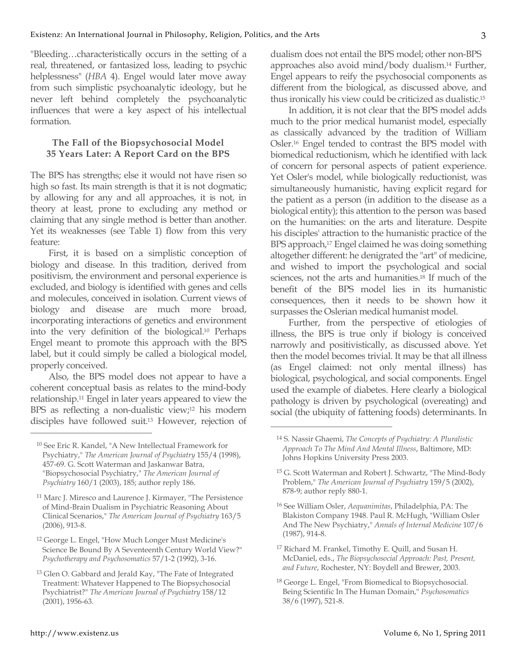"Bleeding…characteristically occurs in the setting of a real, threatened, or fantasized loss, leading to psychic helplessness" (*HBA* 4). Engel would later move away from such simplistic psychoanalytic ideology, but he never left behind completely the psychoanalytic influences that were a key aspect of his intellectual formation.

# **The Fall of the Biopsychosocial Model 35 Years Later: A Report Card on the BPS**

The BPS has strengths; else it would not have risen so high so fast. Its main strength is that it is not dogmatic; by allowing for any and all approaches, it is not, in theory at least, prone to excluding any method or claiming that any single method is better than another. Yet its weaknesses (see Table 1) flow from this very feature:

First, it is based on a simplistic conception of biology and disease. In this tradition, derived from positivism, the environment and personal experience is excluded, and biology is identified with genes and cells and molecules, conceived in isolation. Current views of biology and disease are much more broad, incorporating interactions of genetics and environment into the very definition of the biological.10 Perhaps Engel meant to promote this approach with the BPS label, but it could simply be called a biological model, properly conceived.

Also, the BPS model does not appear to have a coherent conceptual basis as relates to the mind-body relationship.11 Engel in later years appeared to view the BPS as reflecting a non-dualistic view;<sup>12</sup> his modern disciples have followed suit.13 However, rejection of

dualism does not entail the BPS model; other non-BPS approaches also avoid mind/body dualism.14 Further, Engel appears to reify the psychosocial components as different from the biological, as discussed above, and thus ironically his view could be criticized as dualistic.15

In addition, it is not clear that the BPS model adds much to the prior medical humanist model, especially as classically advanced by the tradition of William Osler.16 Engel tended to contrast the BPS model with biomedical reductionism, which he identified with lack of concern for personal aspects of patient experience. Yet Osler's model, while biologically reductionist, was simultaneously humanistic, having explicit regard for the patient as a person (in addition to the disease as a biological entity); this attention to the person was based on the humanities: on the arts and literature. Despite his disciples' attraction to the humanistic practice of the BPS approach,<sup>17</sup> Engel claimed he was doing something altogether different: he denigrated the "art" of medicine, and wished to import the psychological and social sciences, not the arts and humanities.18 If much of the benefit of the BPS model lies in its humanistic consequences, then it needs to be shown how it surpasses the Oslerian medical humanist model.

Further, from the perspective of etiologies of illness, the BPS is true only if biology is conceived narrowly and positivistically, as discussed above. Yet then the model becomes trivial. It may be that all illness (as Engel claimed: not only mental illness) has biological, psychological, and social components. Engel used the example of diabetes. Here clearly a biological pathology is driven by psychological (overeating) and social (the ubiquity of fattening foods) determinants. In

 $\overline{a}$ 

<sup>10</sup> See Eric R. Kandel, "A New Intellectual Framework for Psychiatry," *The American Journal of Psychiatry* 155/4 (1998), 457-69. G. Scott Waterman and Jaskanwar Batra, "Biopsychosocial Psychiatry," *The American Journal of Psychiatry* 160/1 (2003), 185; author reply 186.

<sup>11</sup> Marc J. Miresco and Laurence J. Kirmayer, "The Persistence of Mind-Brain Dualism in Psychiatric Reasoning About Clinical Scenarios," *The American Journal of Psychiatry* 163/5 (2006), 913-8.

<sup>12</sup> George L. Engel, "How Much Longer Must Medicine's Science Be Bound By A Seventeenth Century World View?" *Psychotherapy and Psychosomatics* 57/1-2 (1992), 3-16.

<sup>13</sup> Glen O. Gabbard and Jerald Kay, "The Fate of Integrated Treatment: Whatever Happened to The Biopsychosocial Psychiatrist?" *The American Journal of Psychiatry* 158/12 (2001), 1956-63.

<sup>14</sup> S. Nassir Ghaemi, *The Concepts of Psychiatry: A Pluralistic Approach To The Mind And Mental Illness*, Baltimore, MD: Johns Hopkins University Press 2003.

<sup>15</sup> G. Scott Waterman and Robert J. Schwartz, "The Mind-Body Problem," *The American Journal of Psychiatry* 159/5 (2002), 878-9; author reply 880-1.

<sup>16</sup> See William Osler, *Aequanimitas*, Philadelphia, PA: The Blakiston Company 1948. Paul R. McHugh, "William Osler And The New Psychiatry," *Annals of Internal Medicine* 107/6 (1987), 914-8.

<sup>17</sup> Richard M. Frankel, Timothy E. Quill, and Susan H. McDaniel, eds., *The Biopsychosocial Approach: Past, Present, and Future*, Rochester, NY: Boydell and Brewer, 2003.

<sup>18</sup> George L. Engel, "From Biomedical to Biopsychosocial. Being Scientific In The Human Domain," *Psychosomatics* 38/6 (1997), 521-8.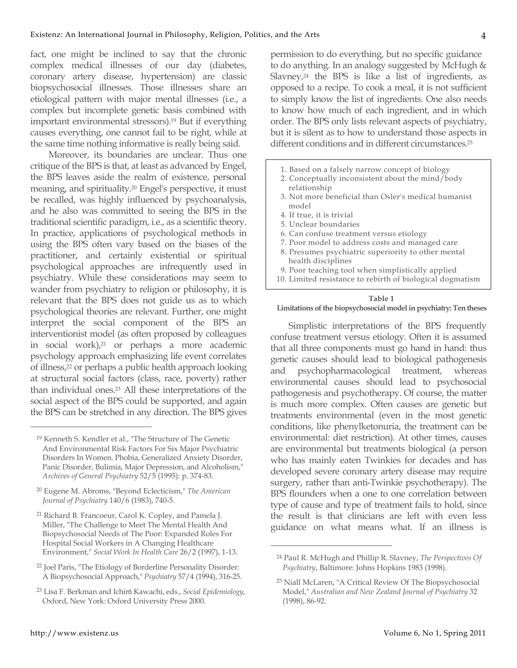fact, one might be inclined to say that the chronic complex medical illnesses of our day (diabetes, coronary artery disease, hypertension) are classic biopsychosocial illnesses. Those illnesses share an etiological pattern with major mental illnesses (i.e., a complex but incomplete genetic basis combined with important environmental stressors).19 But if everything causes everything, one cannot fail to be right, while at the same time nothing informative is really being said.

Moreover, its boundaries are unclear. Thus one critique of the BPS is that, at least as advanced by Engel, the BPS leaves aside the realm of existence, personal meaning, and spirituality.20 Engel's perspective, it must be recalled, was highly influenced by psychoanalysis, and he also was committed to seeing the BPS in the traditional scientific paradigm, i.e., as a scientific theory. In practice, applications of psychological methods in using the BPS often vary based on the biases of the practitioner, and certainly existential or spiritual psychological approaches are infrequently used in psychiatry. While these considerations may seem to wander from psychiatry to religion or philosophy, it is relevant that the BPS does not guide us as to which psychological theories are relevant. Further, one might interpret the social component of the BPS an interventionist model (as often proposed by colleagues in social work),21 or perhaps a more academic psychology approach emphasizing life event correlates of illness,22 or perhaps a public health approach looking at structural social factors (class, race, poverty) rather than individual ones.23 All these interpretations of the social aspect of the BPS could be supported, and again the BPS can be stretched in any direction. The BPS gives

<sup>22</sup> Joel Paris, "The Etiology of Borderline Personality Disorder: A Biopsychosocial Approach," *Psychiatry* 57/4 (1994), 316-25. permission to do everything, but no specific guidance to do anything. In an analogy suggested by McHugh & Slavney, $24$  the BPS is like a list of ingredients, as opposed to a recipe. To cook a meal, it is not sufficient to simply know the list of ingredients. One also needs to know how much of each ingredient, and in which order. The BPS only lists relevant aspects of psychiatry, but it is silent as to how to understand those aspects in different conditions and in different circumstances.<sup>25</sup>

- 1. Based on a falsely narrow concept of biology
- 2. Conceptually inconsistent about the mind/body relationship
- 3. Not more beneficial than Osler's medical humanist model
- 4. If true, it is trivial
- 5. Unclear boundaries
- 6. Can confuse treatment versus etiology
- 7. Poor model to address costs and managed care
- 8. Presumes psychiatric superiority to other mental health disciplines
- 9. Poor teaching tool when simplistically applied
- 10. Limited resistance to rebirth of biological dogmatism

#### **Table 1**

#### **Limitations of the biopsychosocial model in psychiatry: Ten theses**

Simplistic interpretations of the BPS frequently confuse treatment versus etiology. Often it is assumed that all three components must go hand in hand: thus genetic causes should lead to biological pathogenesis and psychopharmacological treatment, whereas environmental causes should lead to psychosocial pathogenesis and psychotherapy. Of course, the matter is much more complex. Often causes are genetic but treatments environmental (even in the most genetic conditions, like phenylketonuria, the treatment can be environmental: diet restriction). At other times, causes are environmental but treatments biological (a person who has mainly eaten Twinkies for decades and has developed severe coronary artery disease may require surgery, rather than anti-Twinkie psychotherapy). The BPS flounders when a one to one correlation between type of cause and type of treatment fails to hold, since the result is that clinicians are left with even less guidance on what means what. If an illness is

 $\overline{a}$ 

<sup>19</sup> Kenneth S. Kendler et al., "The Structure of The Genetic And Environmental Risk Factors For Six Major Psychiatric Disorders In Women. Phobia, Generalized Anxiety Disorder, Panic Disorder, Bulimia, Major Depression, and Alcoholism," *Archives of General Psychiatry* 52/5 (1995): p. 374-83.

<sup>20</sup> Eugene M. Abroms, "Beyond Eclecticism," *The American Journal of Psychiatry* 140/6 (1983), 740-5.

<sup>21</sup> Richard B. Francoeur, Carol K. Copley, and Pamela J. Miller, "The Challenge to Meet The Mental Health And Biopsychosocial Needs of The Poor: Expanded Roles For Hospital Social Workers in A Changing Healthcare Environment," *Social Work In Health Care* 26/2 (1997), 1-13.

<sup>23</sup> Lisa F. Berkman and Ichirō Kawachi, eds., *Social Epidemiology*, Oxford, New York: Oxford University Press 2000.

<sup>24</sup> Paul R. McHugh and Phillip R. Slavney, *The Perspectives Of Psychiatry*, Baltimore: Johns Hopkins 1983 (1998).

<sup>25</sup> Niall McLaren, "A Critical Review Of The Biopsychosocial Model," *Australian and New Zealand Journal of Psychiatry* 32 (1998), 86-92.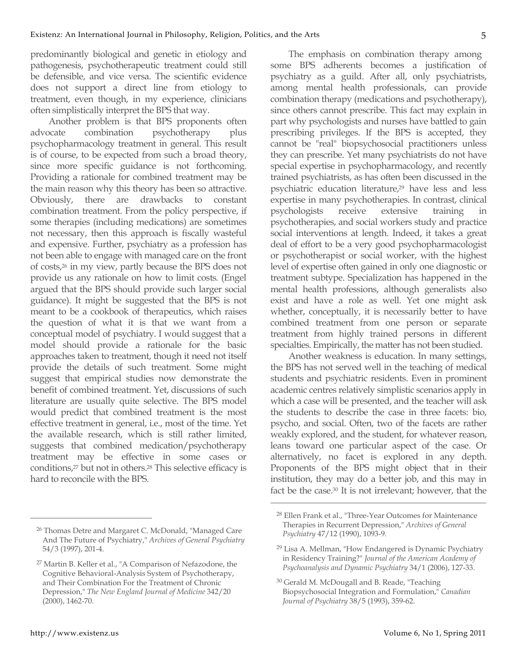predominantly biological and genetic in etiology and pathogenesis, psychotherapeutic treatment could still be defensible, and vice versa. The scientific evidence does not support a direct line from etiology to treatment, even though, in my experience, clinicians often simplistically interpret the BPS that way.

Another problem is that BPS proponents often advocate combination psychotherapy plus psychopharmacology treatment in general. This result is of course, to be expected from such a broad theory, since more specific guidance is not forthcoming. Providing a rationale for combined treatment may be the main reason why this theory has been so attractive. Obviously, there are drawbacks to constant combination treatment. From the policy perspective, if some therapies (including medications) are sometimes not necessary, then this approach is fiscally wasteful and expensive. Further, psychiatry as a profession has not been able to engage with managed care on the front of costs,26 in my view, partly because the BPS does not provide us any rationale on how to limit costs. (Engel argued that the BPS should provide such larger social guidance). It might be suggested that the BPS is not meant to be a cookbook of therapeutics, which raises the question of what it is that we want from a conceptual model of psychiatry. I would suggest that a model should provide a rationale for the basic approaches taken to treatment, though it need not itself provide the details of such treatment. Some might suggest that empirical studies now demonstrate the benefit of combined treatment. Yet, discussions of such literature are usually quite selective. The BPS model would predict that combined treatment is the most effective treatment in general, i.e., most of the time. Yet the available research, which is still rather limited, suggests that combined medication/psychotherapy treatment may be effective in some cases or conditions,27 but not in others.28 This selective efficacy is hard to reconcile with the BPS.

The emphasis on combination therapy among some BPS adherents becomes a justification of psychiatry as a guild. After all, only psychiatrists, among mental health professionals, can provide combination therapy (medications and psychotherapy), since others cannot prescribe. This fact may explain in part why psychologists and nurses have battled to gain prescribing privileges. If the BPS is accepted, they cannot be "real" biopsychosocial practitioners unless they can prescribe. Yet many psychiatrists do not have special expertise in psychopharmacology, and recently trained psychiatrists, as has often been discussed in the psychiatric education literature,29 have less and less expertise in many psychotherapies. In contrast, clinical psychologists receive extensive training in psychotherapies, and social workers study and practice social interventions at length. Indeed, it takes a great deal of effort to be a very good psychopharmacologist or psychotherapist or social worker, with the highest level of expertise often gained in only one diagnostic or treatment subtype. Specialization has happened in the mental health professions, although generalists also exist and have a role as well. Yet one might ask whether, conceptually, it is necessarily better to have combined treatment from one person or separate treatment from highly trained persons in different specialties. Empirically, the matter has not been studied.

Another weakness is education. In many settings, the BPS has not served well in the teaching of medical students and psychiatric residents. Even in prominent academic centres relatively simplistic scenarios apply in which a case will be presented, and the teacher will ask the students to describe the case in three facets: bio, psycho, and social. Often, two of the facets are rather weakly explored, and the student, for whatever reason, leans toward one particular aspect of the case. Or alternatively, no facet is explored in any depth. Proponents of the BPS might object that in their institution, they may do a better job, and this may in fact be the case.30 It is not irrelevant; however, that the

 $\overline{a}$ 

<sup>26</sup> Thomas Detre and Margaret C. McDonald, "Managed Care And The Future of Psychiatry," *Archives of General Psychiatry* 54/3 (1997), 201-4.

<sup>27</sup> Martin B. Keller et al., "A Comparison of Nefazodone, the Cognitive Behavioral-Analysis System of Psychotherapy, and Their Combination For the Treatment of Chronic Depression," *The New England Journal of Medicine* 342/20 (2000), 1462-70.

<sup>28</sup> Ellen Frank et al., "Three-Year Outcomes for Maintenance Therapies in Recurrent Depression," *Archives of General Psychiatry* 47/12 (1990), 1093-9.

<sup>29</sup> Lisa A. Mellman, "How Endangered is Dynamic Psychiatry in Residency Training?" *Journal of the American Academy of Psychoanalysis and Dynamic Psychiatry* 34/1 (2006), 127-33.

<sup>30</sup> Gerald M. McDougall and B. Reade, "Teaching Biopsychosocial Integration and Formulation," *Canadian Journal of Psychiatry* 38/5 (1993), 359-62.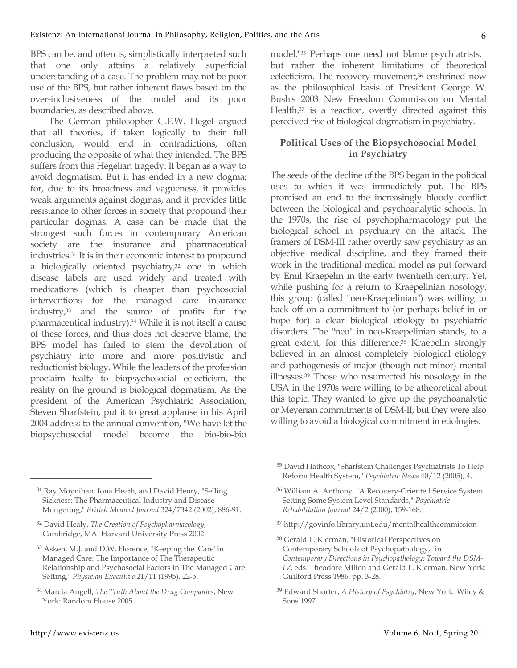BPS can be, and often is, simplistically interpreted such that one only attains a relatively superficial understanding of a case. The problem may not be poor use of the BPS, but rather inherent flaws based on the over-inclusiveness of the model and its poor boundaries, as described above.

The German philosopher G.F.W. Hegel argued that all theories, if taken logically to their full conclusion, would end in contradictions, often producing the opposite of what they intended. The BPS suffers from this Hegelian tragedy. It began as a way to avoid dogmatism. But it has ended in a new dogma; for, due to its broadness and vagueness, it provides weak arguments against dogmas, and it provides little resistance to other forces in society that propound their particular dogmas. A case can be made that the strongest such forces in contemporary American society are the insurance and pharmaceutical industries.31 It is in their economic interest to propound a biologically oriented psychiatry,<sup>32</sup> one in which disease labels are used widely and treated with medications (which is cheaper than psychosocial interventions for the managed care insurance industry,33 and the source of profits for the pharmaceutical industry).34 While it is not itself a cause of these forces, and thus does not deserve blame, the BPS model has failed to stem the devolution of psychiatry into more and more positivistic and reductionist biology. While the leaders of the profession proclaim fealty to biopsychosocial eclecticism, the reality on the ground is biological dogmatism. As the president of the American Psychiatric Association, Steven Sharfstein, put it to great applause in his April 2004 address to the annual convention, "We have let the biopsychosocial model become the bio-bio-bio

31 Ray Moynihan, Iona Heath, and David Henry, "Selling Sickness: The Pharmaceutical Industry and Disease Mongering," *British Medical Journal* 324/7342 (2002), 886-91. model."35 Perhaps one need not blame psychiatrists, but rather the inherent limitations of theoretical eclecticism. The recovery movement,<sup>36</sup> enshrined now as the philosophical basis of President George W. Bush's 2003 New Freedom Commission on Mental Health,<sup>37</sup> is a reaction, overtly directed against this perceived rise of biological dogmatism in psychiatry.

# **Political Uses of the Biopsychosocial Model in Psychiatry**

The seeds of the decline of the BPS began in the political uses to which it was immediately put. The BPS promised an end to the increasingly bloody conflict between the biological and psychoanalytic schools. In the 1970s, the rise of psychopharmacology put the biological school in psychiatry on the attack. The framers of DSM-III rather overtly saw psychiatry as an objective medical discipline, and they framed their work in the traditional medical model as put forward by Emil Kraepelin in the early twentieth century. Yet, while pushing for a return to Kraepelinian nosology, this group (called "neo-Kraepelinian") was willing to back off on a commitment to (or perhaps belief in or hope for) a clear biological etiology to psychiatric disorders. The "neo" in neo-Kraepelinian stands, to a great extent, for this difference:38 Kraepelin strongly believed in an almost completely biological etiology and pathogenesis of major (though not minor) mental illnesses.39 Those who resurrected his nosology in the USA in the 1970s were willing to be atheoretical about this topic. They wanted to give up the psychoanalytic or Meyerian commitments of DSM-II, but they were also willing to avoid a biological commitment in etiologies.

 $\overline{a}$ 

- 37 http://govinfo.library.unt.edu/mentalhealthcommission
- 38 Gerald L. Klerman, "Historical Perspectives on Contemporary Schools of Psychopathology," in *Contemporary Directions in Psychopathology: Toward the DSM-IV*, eds. Theodore Millon and Gerald L. Klerman, New York: Guilford Press 1986, pp. 3-28.
- 39 Edward Shorter, *A History of Psychiatry*, New York: Wiley & Sons 1997.

<sup>32</sup> David Healy, *The Creation of Psychopharmacology*, Cambridge, MA: Harvard University Press 2002.

<sup>33</sup> Asken, M.J. and D.W. Florence, "Keeping the 'Care' in Managed Care: The Importance of The Therapeutic Relationship and Psychosocial Factors in The Managed Care Setting," *Physician Executive* 21/11 (1995), 22-5.

<sup>34</sup> Marcia Angell, *The Truth About the Drug Companies*, New York: Random House 2005.

<sup>35</sup> David Hathcox, "Sharfstein Challenges Psychiatrists To Help Reform Health System," *Psychiatric News* 40/12 (2005), 4.

<sup>36</sup> William A. Anthony, "A Recovery-Oriented Service System: Setting Some System Level Standards," *Psychiatric Rehabilitation Journal* 24/2 (2000), 159-168.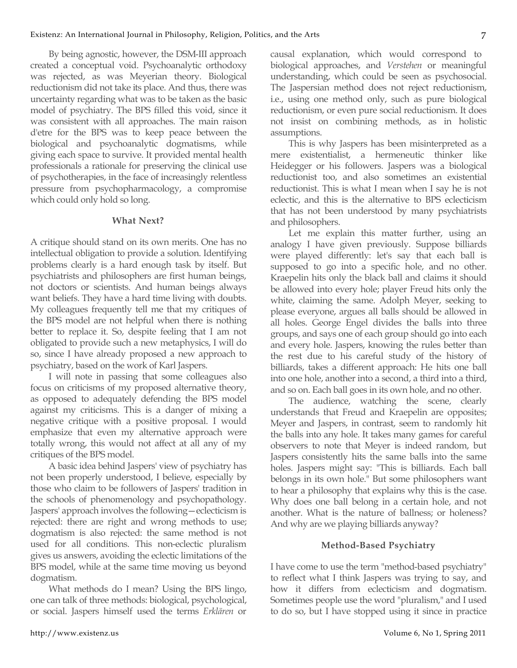By being agnostic, however, the DSM-III approach created a conceptual void. Psychoanalytic orthodoxy was rejected, as was Meyerian theory. Biological reductionism did not take its place. And thus, there was uncertainty regarding what was to be taken as the basic model of psychiatry. The BPS filled this void, since it was consistent with all approaches. The main raison d'etre for the BPS was to keep peace between the biological and psychoanalytic dogmatisms, while giving each space to survive. It provided mental health professionals a rationale for preserving the clinical use of psychotherapies, in the face of increasingly relentless pressure from psychopharmacology, a compromise which could only hold so long.

### **What Next?**

A critique should stand on its own merits. One has no intellectual obligation to provide a solution. Identifying problems clearly is a hard enough task by itself. But psychiatrists and philosophers are first human beings, not doctors or scientists. And human beings always want beliefs. They have a hard time living with doubts. My colleagues frequently tell me that my critiques of the BPS model are not helpful when there is nothing better to replace it. So, despite feeling that I am not obligated to provide such a new metaphysics, I will do so, since I have already proposed a new approach to psychiatry, based on the work of Karl Jaspers.

I will note in passing that some colleagues also focus on criticisms of my proposed alternative theory, as opposed to adequately defending the BPS model against my criticisms. This is a danger of mixing a negative critique with a positive proposal. I would emphasize that even my alternative approach were totally wrong, this would not affect at all any of my critiques of the BPS model.

A basic idea behind Jaspers' view of psychiatry has not been properly understood, I believe, especially by those who claim to be followers of Jaspers' tradition in the schools of phenomenology and psychopathology. Jaspers' approach involves the following—eclecticism is rejected: there are right and wrong methods to use; dogmatism is also rejected: the same method is not used for all conditions. This non-eclectic pluralism gives us answers, avoiding the eclectic limitations of the BPS model, while at the same time moving us beyond dogmatism.

What methods do I mean? Using the BPS lingo, one can talk of three methods: biological, psychological, or social. Jaspers himself used the terms *Erklären* or

causal explanation, which would correspond to biological approaches, and *Verstehen* or meaningful understanding, which could be seen as psychosocial. The Jaspersian method does not reject reductionism, i.e., using one method only, such as pure biological reductionism, or even pure social reductionism. It does not insist on combining methods, as in holistic assumptions.

This is why Jaspers has been misinterpreted as a mere existentialist, a hermeneutic thinker like Heidegger or his followers. Jaspers was a biological reductionist too, and also sometimes an existential reductionist. This is what I mean when I say he is not eclectic, and this is the alternative to BPS eclecticism that has not been understood by many psychiatrists and philosophers.

Let me explain this matter further, using an analogy I have given previously. Suppose billiards were played differently: let's say that each ball is supposed to go into a specific hole, and no other. Kraepelin hits only the black ball and claims it should be allowed into every hole; player Freud hits only the white, claiming the same. Adolph Meyer, seeking to please everyone, argues all balls should be allowed in all holes. George Engel divides the balls into three groups, and says one of each group should go into each and every hole. Jaspers, knowing the rules better than the rest due to his careful study of the history of billiards, takes a different approach: He hits one ball into one hole, another into a second, a third into a third, and so on. Each ball goes in its own hole, and no other.

The audience, watching the scene, clearly understands that Freud and Kraepelin are opposites; Meyer and Jaspers, in contrast, seem to randomly hit the balls into any hole. It takes many games for careful observers to note that Meyer is indeed random, but Jaspers consistently hits the same balls into the same holes. Jaspers might say: "This is billiards. Each ball belongs in its own hole." But some philosophers want to hear a philosophy that explains why this is the case. Why does one ball belong in a certain hole, and not another. What is the nature of ballness; or holeness? And why are we playing billiards anyway?

### **Method-Based Psychiatry**

I have come to use the term "method-based psychiatry" to reflect what I think Jaspers was trying to say, and how it differs from eclecticism and dogmatism. Sometimes people use the word "pluralism," and I used to do so, but I have stopped using it since in practice